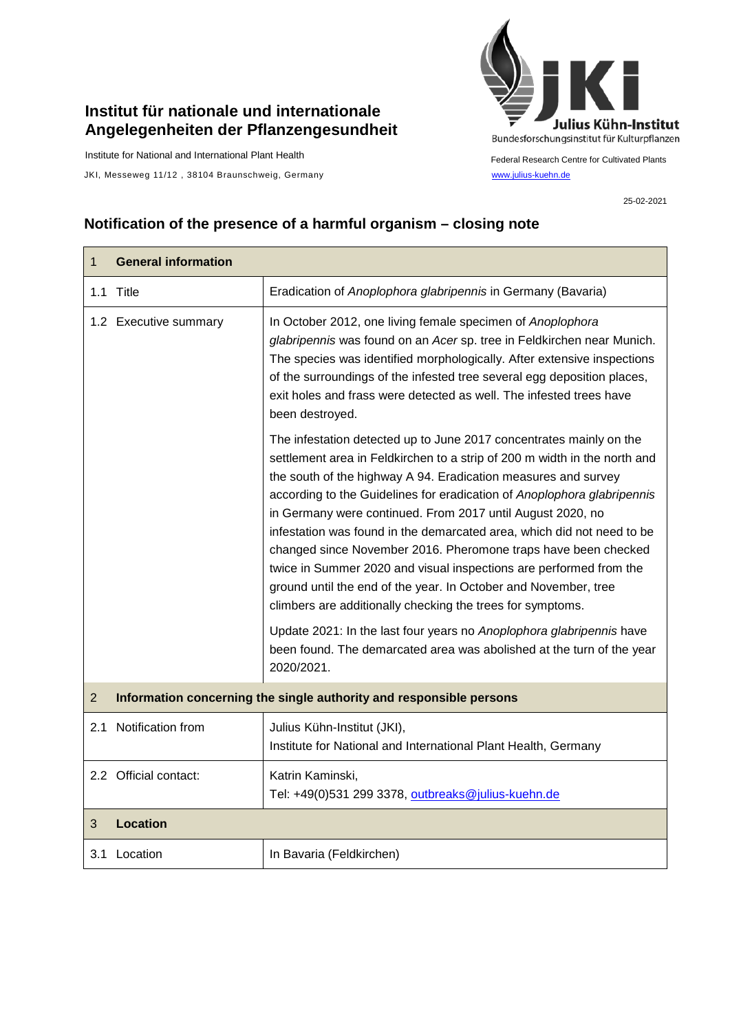## **Institut für nationale und internationale Angelegenheiten der Pflanzengesundheit**

Institute for National and International Plant Health

Г

JKI, Messeweg 11/12, 38104 Braunschweig, Germany [www.julius-kuehn.de](http://www.julius-kuehn.de/)



Federal Research Centre for Cultivated Plants

25-02-2021

 $\overline{\phantom{a}}$ 

## **Notification of the presence of a harmful organism – closing note**

| $\mathbf{1}$   | <b>General information</b>                                          |                                                                                                                                                                                                                                                                                                                                                                                                                                                                                                                                                                                                                                                                                                                                                                                                                                                                               |  |
|----------------|---------------------------------------------------------------------|-------------------------------------------------------------------------------------------------------------------------------------------------------------------------------------------------------------------------------------------------------------------------------------------------------------------------------------------------------------------------------------------------------------------------------------------------------------------------------------------------------------------------------------------------------------------------------------------------------------------------------------------------------------------------------------------------------------------------------------------------------------------------------------------------------------------------------------------------------------------------------|--|
|                | 1.1 Title                                                           | Eradication of Anoplophora glabripennis in Germany (Bavaria)                                                                                                                                                                                                                                                                                                                                                                                                                                                                                                                                                                                                                                                                                                                                                                                                                  |  |
|                | 1.2 Executive summary                                               | In October 2012, one living female specimen of Anoplophora<br>glabripennis was found on an Acer sp. tree in Feldkirchen near Munich.<br>The species was identified morphologically. After extensive inspections<br>of the surroundings of the infested tree several egg deposition places,<br>exit holes and frass were detected as well. The infested trees have<br>been destroyed.                                                                                                                                                                                                                                                                                                                                                                                                                                                                                          |  |
|                |                                                                     | The infestation detected up to June 2017 concentrates mainly on the<br>settlement area in Feldkirchen to a strip of 200 m width in the north and<br>the south of the highway A 94. Eradication measures and survey<br>according to the Guidelines for eradication of Anoplophora glabripennis<br>in Germany were continued. From 2017 until August 2020, no<br>infestation was found in the demarcated area, which did not need to be<br>changed since November 2016. Pheromone traps have been checked<br>twice in Summer 2020 and visual inspections are performed from the<br>ground until the end of the year. In October and November, tree<br>climbers are additionally checking the trees for symptoms.<br>Update 2021: In the last four years no Anoplophora glabripennis have<br>been found. The demarcated area was abolished at the turn of the year<br>2020/2021. |  |
| $\overline{2}$ | Information concerning the single authority and responsible persons |                                                                                                                                                                                                                                                                                                                                                                                                                                                                                                                                                                                                                                                                                                                                                                                                                                                                               |  |
|                | 2.1 Notification from                                               | Julius Kühn-Institut (JKI),<br>Institute for National and International Plant Health, Germany                                                                                                                                                                                                                                                                                                                                                                                                                                                                                                                                                                                                                                                                                                                                                                                 |  |
|                | 2.2 Official contact:                                               | Katrin Kaminski,<br>Tel: +49(0)531 299 3378, outbreaks@julius-kuehn.de                                                                                                                                                                                                                                                                                                                                                                                                                                                                                                                                                                                                                                                                                                                                                                                                        |  |
| 3              | <b>Location</b>                                                     |                                                                                                                                                                                                                                                                                                                                                                                                                                                                                                                                                                                                                                                                                                                                                                                                                                                                               |  |
|                | 3.1 Location                                                        | In Bavaria (Feldkirchen)                                                                                                                                                                                                                                                                                                                                                                                                                                                                                                                                                                                                                                                                                                                                                                                                                                                      |  |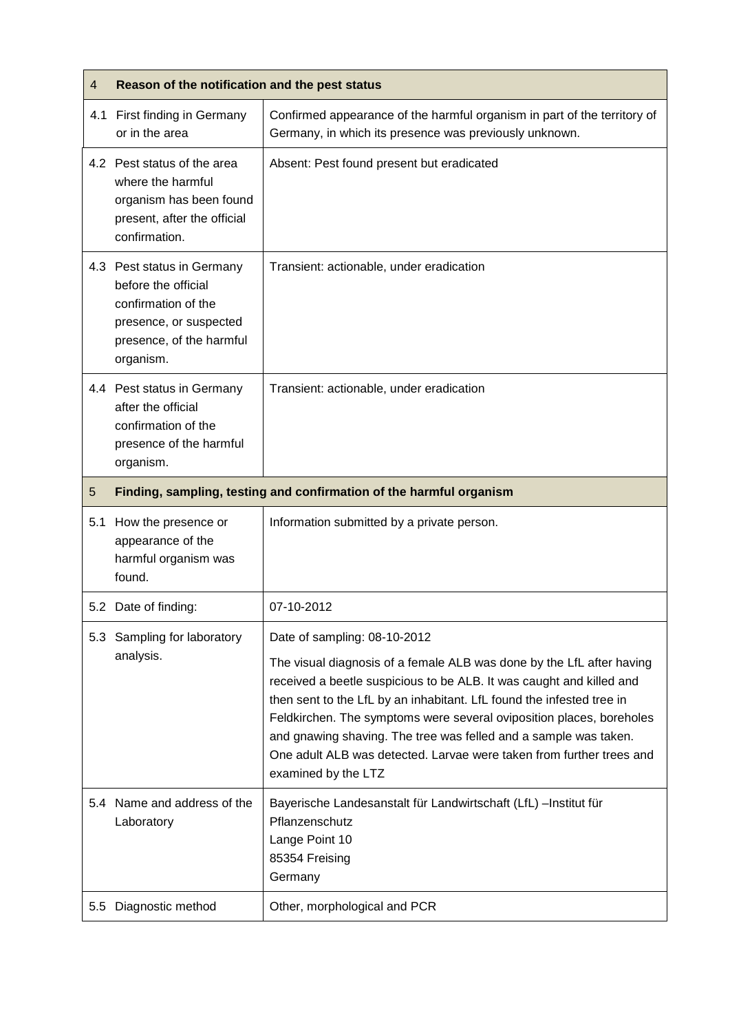| 4   | Reason of the notification and the pest status                                                                                              |                                                                                                                                                                                                                                                                                                                                                                                                                                                                                                   |
|-----|---------------------------------------------------------------------------------------------------------------------------------------------|---------------------------------------------------------------------------------------------------------------------------------------------------------------------------------------------------------------------------------------------------------------------------------------------------------------------------------------------------------------------------------------------------------------------------------------------------------------------------------------------------|
|     | 4.1 First finding in Germany<br>or in the area                                                                                              | Confirmed appearance of the harmful organism in part of the territory of<br>Germany, in which its presence was previously unknown.                                                                                                                                                                                                                                                                                                                                                                |
|     | 4.2 Pest status of the area<br>where the harmful<br>organism has been found<br>present, after the official<br>confirmation.                 | Absent: Pest found present but eradicated                                                                                                                                                                                                                                                                                                                                                                                                                                                         |
|     | 4.3 Pest status in Germany<br>before the official<br>confirmation of the<br>presence, or suspected<br>presence, of the harmful<br>organism. | Transient: actionable, under eradication                                                                                                                                                                                                                                                                                                                                                                                                                                                          |
|     | 4.4 Pest status in Germany<br>after the official<br>confirmation of the<br>presence of the harmful<br>organism.                             | Transient: actionable, under eradication                                                                                                                                                                                                                                                                                                                                                                                                                                                          |
| 5   | Finding, sampling, testing and confirmation of the harmful organism                                                                         |                                                                                                                                                                                                                                                                                                                                                                                                                                                                                                   |
| 5.1 | How the presence or<br>appearance of the<br>harmful organism was<br>found.                                                                  | Information submitted by a private person.                                                                                                                                                                                                                                                                                                                                                                                                                                                        |
|     | 5.2 Date of finding:                                                                                                                        | 07-10-2012                                                                                                                                                                                                                                                                                                                                                                                                                                                                                        |
| 5.3 | Sampling for laboratory<br>analysis.                                                                                                        | Date of sampling: 08-10-2012<br>The visual diagnosis of a female ALB was done by the LfL after having<br>received a beetle suspicious to be ALB. It was caught and killed and<br>then sent to the LfL by an inhabitant. LfL found the infested tree in<br>Feldkirchen. The symptoms were several oviposition places, boreholes<br>and gnawing shaving. The tree was felled and a sample was taken.<br>One adult ALB was detected. Larvae were taken from further trees and<br>examined by the LTZ |
|     | 5.4 Name and address of the<br>Laboratory                                                                                                   | Bayerische Landesanstalt für Landwirtschaft (LfL) -Institut für<br>Pflanzenschutz<br>Lange Point 10<br>85354 Freising<br>Germany                                                                                                                                                                                                                                                                                                                                                                  |
| 5.5 | Diagnostic method                                                                                                                           | Other, morphological and PCR                                                                                                                                                                                                                                                                                                                                                                                                                                                                      |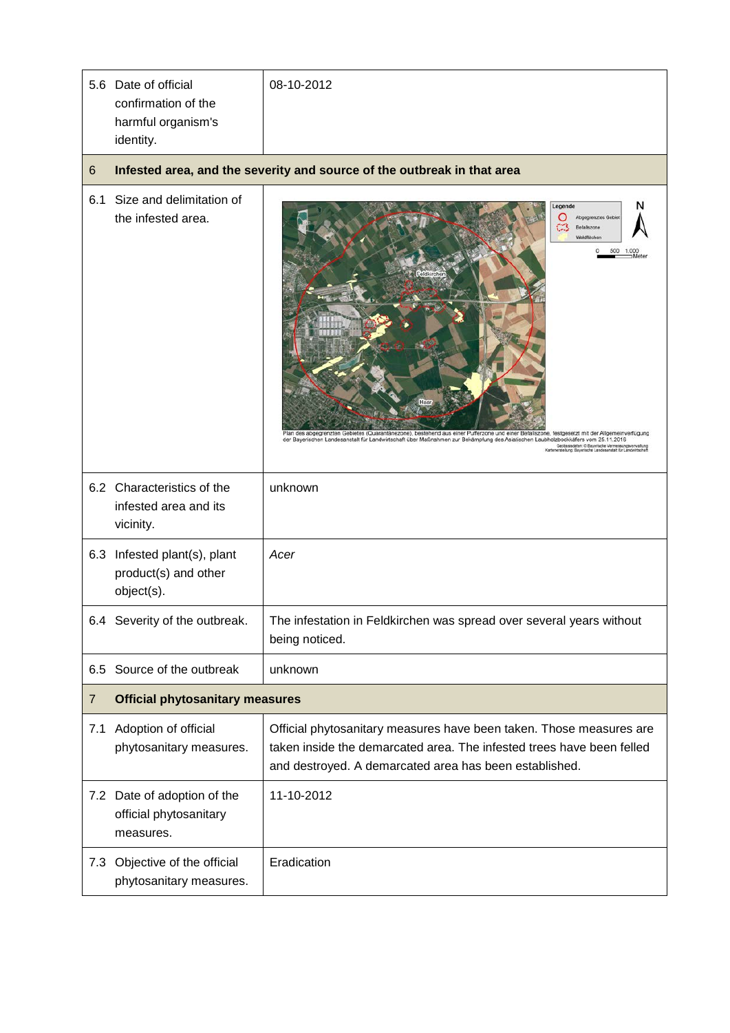|                | 5.6 Date of official<br>confirmation of the<br>harmful organism's<br>identity. | 08-10-2012                                                                                                                                                                                                                                                                                                                                                                                                                                                                                         |  |
|----------------|--------------------------------------------------------------------------------|----------------------------------------------------------------------------------------------------------------------------------------------------------------------------------------------------------------------------------------------------------------------------------------------------------------------------------------------------------------------------------------------------------------------------------------------------------------------------------------------------|--|
| 6              |                                                                                | Infested area, and the severity and source of the outbreak in that area                                                                                                                                                                                                                                                                                                                                                                                                                            |  |
| 6.1            | Size and delimitation of<br>the infested area.                                 | Legende<br>Abgegrenztes Gebi<br>Befallszone<br>Waldflächen<br>500<br>٥<br>1.00<br>Feldkirche<br>Plan des abgegrenzten Gebietes (Quarantänezone), bestehend aus einer Pufferzone und einer Befallszone, festgesetzt mit der Allgemeinverfügung<br>der Bayerischen Landesanstalt für Landwirtschaft über Maßnahmen zur Bekämpfung des Asiatischen Laubholzbockkäfers vom 25.11.2016<br>Geobasisdaten: @ Bayerische Vermessungsverwaltung<br>Inerstellung: Bayerische Landesanstalt für Landwirtschaf |  |
|                | 6.2 Characteristics of the<br>infested area and its<br>vicinity.               | unknown                                                                                                                                                                                                                                                                                                                                                                                                                                                                                            |  |
|                | 6.3 Infested plant(s), plant<br>product(s) and other<br>object(s).             | Acer                                                                                                                                                                                                                                                                                                                                                                                                                                                                                               |  |
|                | 6.4 Severity of the outbreak.                                                  | The infestation in Feldkirchen was spread over several years without<br>being noticed.                                                                                                                                                                                                                                                                                                                                                                                                             |  |
|                | 6.5 Source of the outbreak                                                     | unknown                                                                                                                                                                                                                                                                                                                                                                                                                                                                                            |  |
| $\overline{7}$ | <b>Official phytosanitary measures</b>                                         |                                                                                                                                                                                                                                                                                                                                                                                                                                                                                                    |  |
| 7.1            | Adoption of official<br>phytosanitary measures.                                | Official phytosanitary measures have been taken. Those measures are<br>taken inside the demarcated area. The infested trees have been felled<br>and destroyed. A demarcated area has been established.                                                                                                                                                                                                                                                                                             |  |
|                | 7.2 Date of adoption of the<br>official phytosanitary<br>measures.             | 11-10-2012                                                                                                                                                                                                                                                                                                                                                                                                                                                                                         |  |
|                | 7.3 Objective of the official<br>phytosanitary measures.                       | Eradication                                                                                                                                                                                                                                                                                                                                                                                                                                                                                        |  |